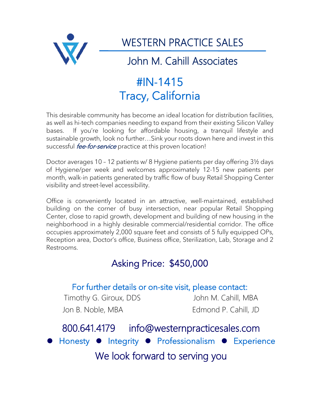

WESTERN PRACTICE SALES

## John M. Cahill Associates

# #IN-1415 Tracy, California

This desirable community has become an ideal location for distribution facilities, as well as hi-tech companies needing to expand from their existing Silicon Valley bases. If you're looking for affordable housing, a tranquil lifestyle and sustainable growth, look no further…Sink your roots down here and invest in this successful *fee-for-service* practice at this proven location!

Doctor averages 10 – 12 patients w/ 8 Hygiene patients per day offering 3½ days of Hygiene/per week and welcomes approximately 12-15 new patients per month, walk-in patients generated by traffic flow of busy Retail Shopping Center visibility and street-level accessibility.

Office is conveniently located in an attractive, well-maintained, established building on the corner of busy intersection, near popular Retail Shopping Center, close to rapid growth, development and building of new housing in the neighborhood in a highly desirable commercial/residential corridor. The office occupies approximately 2,000 square feet and consists of 5 fully equipped OPs, Reception area, Doctor's office, Business office, Sterilization, Lab, Storage and 2 Restrooms.

### Asking Price: \$450,000

### For further details or on-site visit, please contact:

Timothy G. Giroux, DDS John M. Cahill, MBA Jon B. Noble, MBA Edmond P. Cahill, JD

## 800.641.4179 info@westernpracticesales.com **Integrity • Professionalism • Experience** We look forward to serving you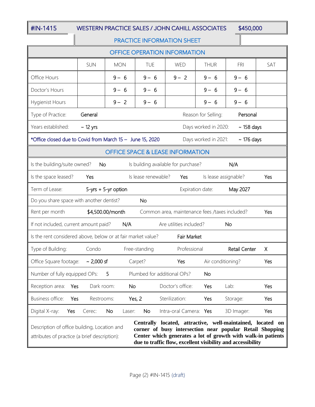### #IN-1415 WESTERN PRACTICE SALES / JOHN CAHILL ASSOCIATES \$450,000

### PRACTICE INFORMATION SHEET

| <b>OFFICE OPERATION INFORMATION</b>                                                                                                                                                                                                                                                                                                                    |                 |                     |                     |                        |                                                |                      |     |
|--------------------------------------------------------------------------------------------------------------------------------------------------------------------------------------------------------------------------------------------------------------------------------------------------------------------------------------------------------|-----------------|---------------------|---------------------|------------------------|------------------------------------------------|----------------------|-----|
|                                                                                                                                                                                                                                                                                                                                                        | SUN             | <b>MON</b>          | TUE                 | WED                    | <b>THUR</b>                                    | <b>FRI</b>           | SAT |
| Office Hours                                                                                                                                                                                                                                                                                                                                           |                 | $9 - 6$             | $9 - 6$             | $9 - 2$                | $9 - 6$                                        | $9 - 6$              |     |
| Doctor's Hours                                                                                                                                                                                                                                                                                                                                         |                 | $9 - 6$             | $9 - 6$             |                        | $9 - 6$                                        | $9 - 6$              |     |
| Hygienist Hours                                                                                                                                                                                                                                                                                                                                        |                 | $9 - 2$             | $9 - 6$             |                        | $9 - 6$                                        | $9 - 6$              |     |
| Type of Practice:<br>Reason for Selling:<br>General<br>Personal                                                                                                                                                                                                                                                                                        |                 |                     |                     |                        |                                                |                      |     |
| Years established:<br>Days worked in 2020:<br>$\sim$ 12 yrs<br>$\sim$ 158 days                                                                                                                                                                                                                                                                         |                 |                     |                     |                        |                                                |                      |     |
| *Office closed due to Covid from March 15 - June 15, 2020<br>Days worked in 2021:<br>$\sim$ 176 days                                                                                                                                                                                                                                                   |                 |                     |                     |                        |                                                |                      |     |
| <b>OFFICE SPACE &amp; LEASE INFORMATION</b>                                                                                                                                                                                                                                                                                                            |                 |                     |                     |                        |                                                |                      |     |
| Is the building/suite owned?<br>Is building available for purchase?<br>No<br>N/A                                                                                                                                                                                                                                                                       |                 |                     |                     |                        |                                                |                      |     |
| Is the space leased?                                                                                                                                                                                                                                                                                                                                   | Yes             |                     | Is lease renewable? | Yes                    | Is lease assignable?                           |                      | Yes |
| Term of Lease:                                                                                                                                                                                                                                                                                                                                         |                 | 5-yrs + 5-yr option |                     |                        | Expiration date:                               | May 2027             |     |
| Do you share space with another dentist?                                                                                                                                                                                                                                                                                                               |                 |                     | No.                 |                        |                                                |                      |     |
| Rent per month                                                                                                                                                                                                                                                                                                                                         |                 | \$4,500.00/month    |                     |                        | Common area, maintenance fees /taxes included? |                      | Yes |
| Are utilities included?<br>If not included, current amount paid?<br>N/A<br><b>No</b>                                                                                                                                                                                                                                                                   |                 |                     |                     |                        |                                                |                      |     |
| Is the rent considered above, below or at fair market value?<br>Fair Market                                                                                                                                                                                                                                                                            |                 |                     |                     |                        |                                                |                      |     |
| Type of Building:                                                                                                                                                                                                                                                                                                                                      | Condo           |                     | Free-standing       | Professional           |                                                | <b>Retail Center</b> | Χ   |
| Office Square footage:                                                                                                                                                                                                                                                                                                                                 | $\sim$ 2,000 sf |                     | Carpet?             | Yes                    | Air conditioning?                              |                      | Yes |
| Number of fully equipped OPs:<br>Plumbed for additional OPs?<br>No                                                                                                                                                                                                                                                                                     |                 |                     |                     |                        |                                                |                      |     |
| Reception area:<br>Yes                                                                                                                                                                                                                                                                                                                                 | Dark room:      | No                  |                     | Doctor's office:       | Yes                                            | Lab:                 | Yes |
| <b>Business office:</b><br>Yes                                                                                                                                                                                                                                                                                                                         | Restrooms:      |                     | Yes, 2              | Sterilization:         | Yes                                            | Storage:             | Yes |
| Digital X-ray:<br>Yes                                                                                                                                                                                                                                                                                                                                  | Cerec:          | No.<br>Laser:       | No                  | Intra-oral Camera: Yes |                                                | 3D Imager:           | Yes |
| Centrally located, attractive, well-maintained, located on<br>Description of office building, Location and<br>corner of busy intersection near popular Retail Shopping<br>Center which generates a lot of growth with walk-in patients<br>attributes of practice (a brief description):<br>due to traffic flow, excellent visibility and accessibility |                 |                     |                     |                        |                                                |                      |     |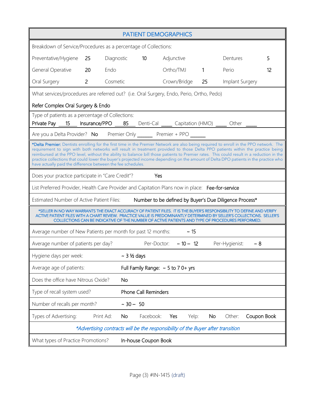| <b>PATIENT DEMOGRAPHICS</b>                                                                                                                                                                                                                                                                                                                                                                                                                                                                                                                                                                                                   |            |                                         |            |              |              |                 |             |    |
|-------------------------------------------------------------------------------------------------------------------------------------------------------------------------------------------------------------------------------------------------------------------------------------------------------------------------------------------------------------------------------------------------------------------------------------------------------------------------------------------------------------------------------------------------------------------------------------------------------------------------------|------------|-----------------------------------------|------------|--------------|--------------|-----------------|-------------|----|
| Breakdown of Service/Procedures as a percentage of Collections:                                                                                                                                                                                                                                                                                                                                                                                                                                                                                                                                                               |            |                                         |            |              |              |                 |             |    |
| 25<br>Preventative/Hygiene                                                                                                                                                                                                                                                                                                                                                                                                                                                                                                                                                                                                    | Diagnostic | 10                                      | Adjunctive |              |              | Dentures        |             | 5  |
| General Operative<br>20                                                                                                                                                                                                                                                                                                                                                                                                                                                                                                                                                                                                       | Endo       |                                         |            | Ortho/TMJ    | $\mathbf{1}$ | Perio           |             | 12 |
| $\overline{2}$<br>Oral Surgery                                                                                                                                                                                                                                                                                                                                                                                                                                                                                                                                                                                                | Cosmetic   |                                         |            | Crown/Bridge | 25           | Implant Surgery |             |    |
| What services/procedures are referred out? (i.e. Oral Surgery, Endo, Perio, Ortho, Pedo)                                                                                                                                                                                                                                                                                                                                                                                                                                                                                                                                      |            |                                         |            |              |              |                 |             |    |
| Refer Complex Oral Surgery & Endo                                                                                                                                                                                                                                                                                                                                                                                                                                                                                                                                                                                             |            |                                         |            |              |              |                 |             |    |
| Type of patients as a percentage of Collections:<br>Private Pay 15 Insurance/PPO 85 Denti-Cal Capitation (HMO) Cher                                                                                                                                                                                                                                                                                                                                                                                                                                                                                                           |            |                                         |            |              |              |                 |             |    |
| Are you a Delta Provider? No Premier Only _______ Premier + PPO ______                                                                                                                                                                                                                                                                                                                                                                                                                                                                                                                                                        |            |                                         |            |              |              |                 |             |    |
| *Delta Premier: Dentists enrolling for the first time in the Premier Network are also being required to enroll in the PPO network. The<br>requirement to sign with both networks will result in treatment provided to those Delta PPO patients within the practice being<br>reimbursed at the PPO level, without the ability to balance bill those patients to Premier rates. This could result in a reduction in the<br>practice collections that could lower the buyer's projected income depending on the amount of Delta DPO patients in the practice who<br>have actually paid the difference between the fee schedules. |            |                                         |            |              |              |                 |             |    |
| Does your practice participate in "Care Credit"?<br>Yes                                                                                                                                                                                                                                                                                                                                                                                                                                                                                                                                                                       |            |                                         |            |              |              |                 |             |    |
| List Preferred Provider, Health Care Provider and Capitation Plans now in place: Fee-for-service                                                                                                                                                                                                                                                                                                                                                                                                                                                                                                                              |            |                                         |            |              |              |                 |             |    |
| Estimated Number of Active Patient Files:<br>Number to be defined by Buyer's Due Diligence Process*                                                                                                                                                                                                                                                                                                                                                                                                                                                                                                                           |            |                                         |            |              |              |                 |             |    |
| *SELLER IN NO WAY WARRANTS THE EXACT ACCURACY OF PATIENT FILES. IT IS THE BUYER'S RESPONSIBILITY TO DEFINE AND VERIFY<br>ACTIVE PATIENT FILES WITH A CHART REVIEW. PRACTICE VALUE IS PREDOMINANTLY DETERMINED BY SELLER'S COLLECTIONS. SELLER'S<br>COLLECTIONS CAN BE INDICATIVE OF THE NUMBER OF ACTIVE PATIENTS AND TYPE OF PROCEDURES PERFORMED.                                                                                                                                                                                                                                                                           |            |                                         |            |              |              |                 |             |    |
| $~\sim$ 15<br>Average number of New Patients per month for past 12 months:                                                                                                                                                                                                                                                                                                                                                                                                                                                                                                                                                    |            |                                         |            |              |              |                 |             |    |
| $\sim 10 - 12$<br>Per-Doctor:<br>Per-Hygienist:<br>$~\sim 8$<br>Average number of patients per day?                                                                                                                                                                                                                                                                                                                                                                                                                                                                                                                           |            |                                         |            |              |              |                 |             |    |
| Hygiene days per week:                                                                                                                                                                                                                                                                                                                                                                                                                                                                                                                                                                                                        |            | $\sim$ 3 ½ days                         |            |              |              |                 |             |    |
| Average age of patients:                                                                                                                                                                                                                                                                                                                                                                                                                                                                                                                                                                                                      |            | Full Family Range: $\sim$ 5 to 7 0+ yrs |            |              |              |                 |             |    |
| Does the office have Nitrous Oxide?                                                                                                                                                                                                                                                                                                                                                                                                                                                                                                                                                                                           |            | <b>No</b>                               |            |              |              |                 |             |    |
| <b>Phone Call Reminders</b><br>Type of recall system used?                                                                                                                                                                                                                                                                                                                                                                                                                                                                                                                                                                    |            |                                         |            |              |              |                 |             |    |
| Number of recalls per month?                                                                                                                                                                                                                                                                                                                                                                                                                                                                                                                                                                                                  |            | $~10 - 50$                              |            |              |              |                 |             |    |
| Types of Advertising:                                                                                                                                                                                                                                                                                                                                                                                                                                                                                                                                                                                                         | Print Ad:  | Facebook:<br>No.                        | Yes        | Yelp:        | No           | Other:          | Coupon Book |    |
| *Advertising contracts will be the responsibility of the Buyer after transition                                                                                                                                                                                                                                                                                                                                                                                                                                                                                                                                               |            |                                         |            |              |              |                 |             |    |
| In-house Coupon Book<br>What types of Practice Promotions?                                                                                                                                                                                                                                                                                                                                                                                                                                                                                                                                                                    |            |                                         |            |              |              |                 |             |    |